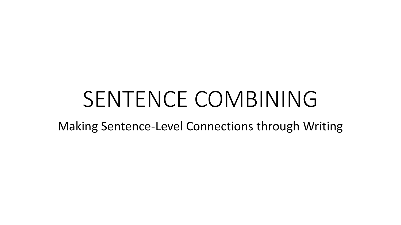# SENTENCE COMBINING

Making Sentence-Level Connections through Writing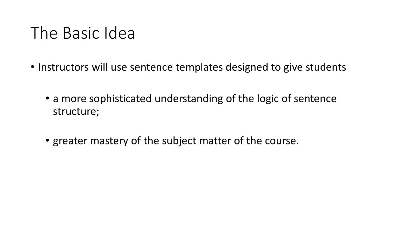# The Basic Idea

- Instructors will use sentence templates designed to give students
	- a more sophisticated understanding of the logic of sentence structure;
	- greater mastery of the subject matter of the course.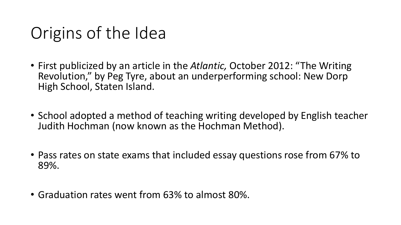# Origins of the Idea

- First publicized by an article in the *Atlantic,* October 2012: "The Writing Revolution," by Peg Tyre, about an underperforming school: New Dorp High School, Staten Island.
- School adopted a method of teaching writing developed by English teacher Judith Hochman (now known as the Hochman Method).
- Pass rates on state exams that included essay questions rose from 67% to 89%.
- Graduation rates went from 63% to almost 80%.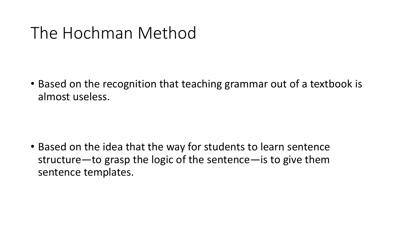# The Hochman Method

• Based on the recognition that teaching grammar out of a textbook is almost useless.

• Based on the idea that the way for students to learn sentence structure—to grasp the logic of the sentence—is to give them sentence templates.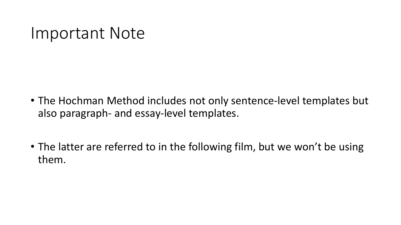#### Important Note

- The Hochman Method includes not only sentence-level templates but also paragraph- and essay-level templates.
- The latter are referred to in the following film, but we won't be using them.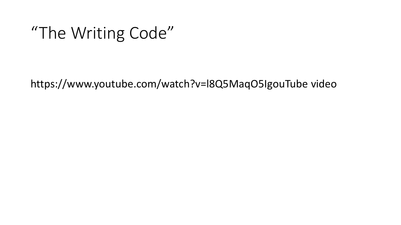### "The Writing Code"

https://www.youtube.com/watch?v=l8Q5MaqO5IgouTube video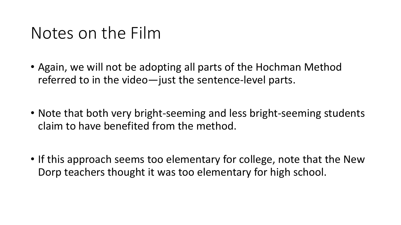#### Notes on the Film

- Again, we will not be adopting all parts of the Hochman Method referred to in the video—just the sentence-level parts.
- Note that both very bright-seeming and less bright-seeming students claim to have benefited from the method.
- If this approach seems too elementary for college, note that the New Dorp teachers thought it was too elementary for high school.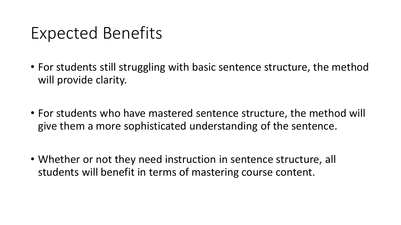## Expected Benefits

- For students still struggling with basic sentence structure, the method will provide clarity.
- For students who have mastered sentence structure, the method will give them a more sophisticated understanding of the sentence.
- Whether or not they need instruction in sentence structure, all students will benefit in terms of mastering course content.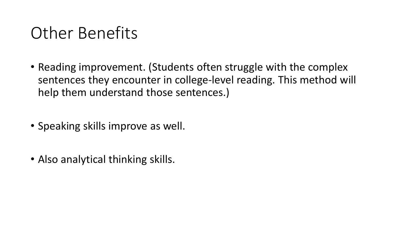# Other Benefits

- Reading improvement. (Students often struggle with the complex sentences they encounter in college-level reading. This method will help them understand those sentences.)
- Speaking skills improve as well.
- Also analytical thinking skills.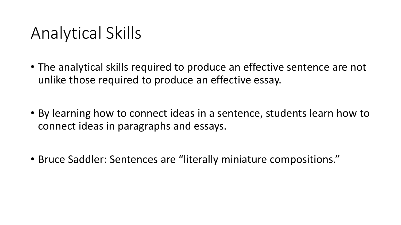# Analytical Skills

- The analytical skills required to produce an effective sentence are not unlike those required to produce an effective essay.
- By learning how to connect ideas in a sentence, students learn how to connect ideas in paragraphs and essays.
- Bruce Saddler: Sentences are "literally miniature compositions."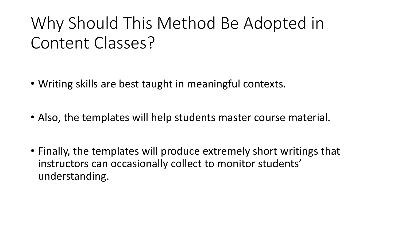# Why Should This Method Be Adopted in Content Classes?

- Writing skills are best taught in meaningful contexts.
- Also, the templates will help students master course material.
- Finally, the templates will produce extremely short writings that instructors can occasionally collect to monitor students' understanding.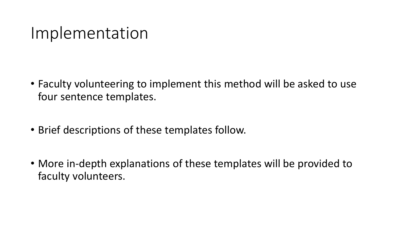#### Implementation

- Faculty volunteering to implement this method will be asked to use four sentence templates.
- Brief descriptions of these templates follow.
- More in-depth explanations of these templates will be provided to faculty volunteers.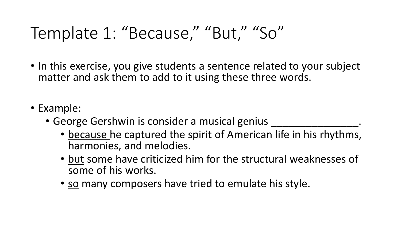# Template 1: "Because," "But," "So"

- In this exercise, you give students a sentence related to your subject matter and ask them to add to it using these three words.
- Example:
	- George Gershwin is consider a musical genius
		- because he captured the spirit of American life in his rhythms, harmonies, and melodies.
		- but some have criticized him for the structural weaknesses of some of his works.
		- so many composers have tried to emulate his style.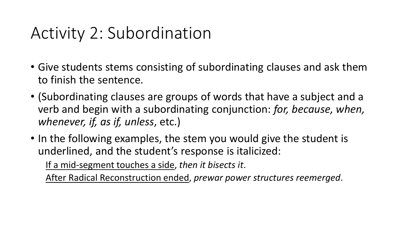# Activity 2: Subordination

- Give students stems consisting of subordinating clauses and ask them to finish the sentence.
- (Subordinating clauses are groups of words that have a subject and a verb and begin with a subordinating conjunction: *for, because, when, whenever, if, as if, unless*, etc.)
- In the following examples, the stem you would give the student is underlined, and the student's response is italicized:

If a mid-segment touches a side, *then it bisects it*.

After Radical Reconstruction ended, *prewar power structures reemerged*.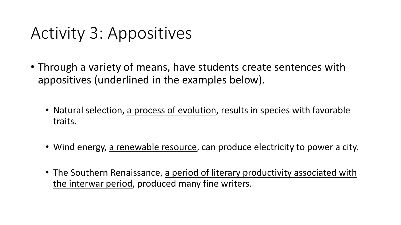# Activity 3: Appositives

- Through a variety of means, have students create sentences with appositives (underlined in the examples below).
	- Natural selection, a process of evolution, results in species with favorable traits.
	- Wind energy, a renewable resource, can produce electricity to power a city.
	- The Southern Renaissance, a period of literary productivity associated with the interwar period, produced many fine writers.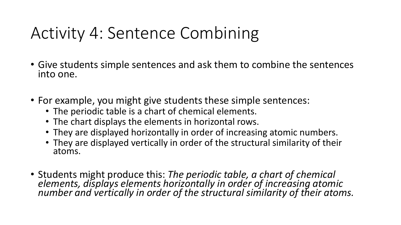# Activity 4: Sentence Combining

- Give students simple sentences and ask them to combine the sentences into one.
- For example, you might give students these simple sentences:
	- The periodic table is a chart of chemical elements.
	- The chart displays the elements in horizontal rows.
	- They are displayed horizontally in order of increasing atomic numbers.
	- They are displayed vertically in order of the structural similarity of their atoms.
- Students might produce this: *The periodic table, a chart of chemical elements, displays elements horizontally in order of increasing atomic number and vertically in order of the structural similarity of their atoms.*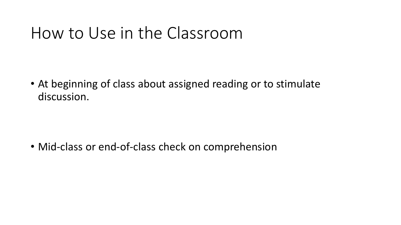### How to Use in the Classroom

• At beginning of class about assigned reading or to stimulate discussion.

• Mid-class or end-of-class check on comprehension